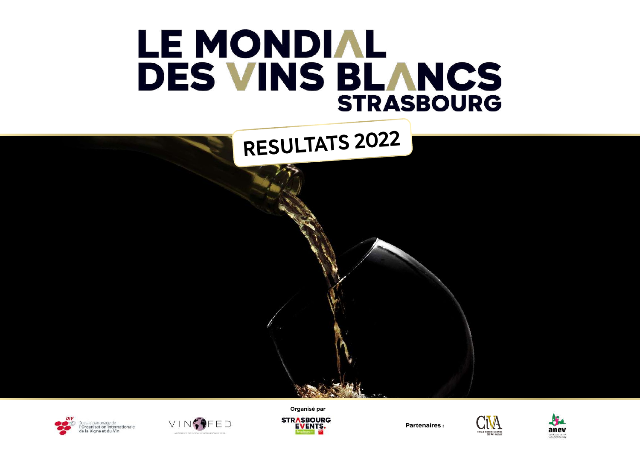#### LE MONDIAL DES VINS BLANCS **STRASBOURG**







**Organisé parSTRASBOURG EVENTS.** 

**Partenaires :**



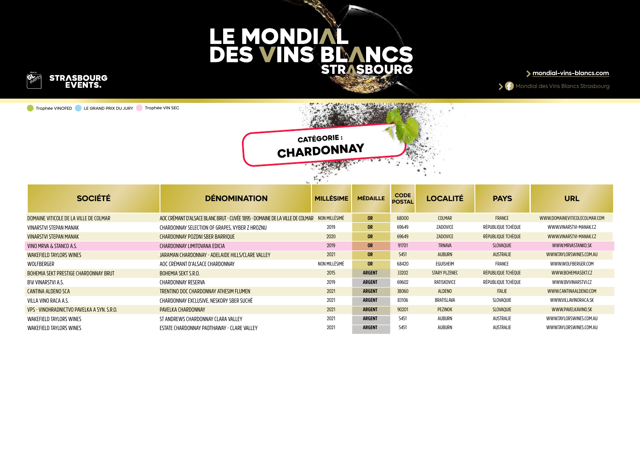

Trophée VINOFED LE GRAND PRIX DU JURY Trophée VIN SEC





| <b>SOCIÉTÉ</b>                             | <b>DÉNOMINATION</b>                                                          | <b>MILLÉSIME</b> | <b>MÉDAILLE</b> | <b>CODE</b><br><b>POSTAL</b> | <b>LOCALITÉ</b>   | <b>PAYS</b>        | <b>URL</b>                    |
|--------------------------------------------|------------------------------------------------------------------------------|------------------|-----------------|------------------------------|-------------------|--------------------|-------------------------------|
| DOMAINE VITICOLE DE LA VILLE DE COLMAR     | AOC CRÉMANT D'ALSACE BLANC BRUT - CUVÉE 1895 - DOMAINE DE LA VILLE DE COLMAR | NON MILLÉSIMÉ    | <b>OR</b>       | 68000                        | COLMAR            | FRANCE             | WWW.DOMAINEVITICOLECOLMAR.COM |
| VINARSTVI STEPAN MANAK                     | CHARDONNAY SELECTION OF GRAPES, VYBER Z HROZNU                               | 2019             | <b>OR</b>       | 69649                        | ZADOVICE          | RÉPUBLIOUE TCHÈOUE | WWW.VINARSTVI-MANAK.CZ        |
| <b>VINARSTVI STEPAN MANAK</b>              | CHARDONNAY POZDNI SBER BARRIQUE                                              | 2020             | <b>OR</b>       | 69649                        | ZADOVICE          | RÉPUBLIOUE TCHÈOUE | WWW.VINARSTVI-MANAK.CZ        |
| VINO MRVA & STANCO A.S.                    | CHARDONNAY LIMITOVANA EDICIA                                                 | 2019             | <b>OR</b>       | 91701                        | <b>TRNAVA</b>     | SLOVAOUIE          | WWW.MRVASTANKO.SK             |
| <b>WAKEFIELD TAYLORS WINES</b>             | JARAMAN CHARDONNAY - ADELAIDE HILLS/CLARE VALLEY                             | 2021             | <b>OR</b>       | 5451                         | <b>AUBURN</b>     | <b>AUSTRALIE</b>   | WWW.TAYLORSWINES.COM.AU       |
| WOLFBERGER                                 | AOC CRÉMANT D'ALSACE CHARDONNAY                                              | NON MILLÉSIMÉ    | OR              | 68420                        | EGUISHEIM         | FRANCE             | WWW.WOLFBERGER.COM            |
| BOHEMIA SEKT PRESTIGE CHARDONNAY BRUT      | <b>BOHEMIA SEKT S.R.O.</b>                                                   | 2015             | <b>ARGENT</b>   | 33202                        | STARY PLZENEC     | RÉPUBLIOUE TCHÈOUE | WWW.BOHEMIASEKT.CZ            |
| BW VINARSTVI A.S.                          | CHARDONNAY RESERVA                                                           | 2019             | <b>ARGENT</b>   | 69602                        | RATISKOVICE       | RÉPUBLIOUE TCHÈOUE | WWW.BVVINARSTVI.CZ            |
| <b>CANTINA ALDENO SCA</b>                  | TRENTINO DOC CHARDONNAY ATHESIM FLUMEN                                       | 2021             | <b>ARGENT</b>   | 38060                        | <b>ALDENO</b>     | <b>ITALIE</b>      | WWW.CANTINAALDENO.COM         |
| VILLA VINO RACA A.S.                       | CHARDONNAY EXCLUSIVE. NESKORY SBER SUCHÉ                                     | 2021             | <b>ARGENT</b>   | 83106                        | <b>BRATISLAVA</b> | SLOVAOUIE          | WWW.VILLAVINORACA.SK          |
| VPS - VINOHRADNICTVO PAVELKA A SYN. S.R.O. | PAVELKA CHARDONNAY                                                           | 2021             | <b>ARGENT</b>   | 90201                        | PEZINOK           | SLOVAQUIE          | WWW.PAVELKAVINO.SK            |
| WAKEFIELD TAYLORS WINES                    | ST ANDREWS CHARDONNAY CLARA VALLEY                                           | 2021             | <b>ARGENT</b>   | 5451                         | AUBURN            | AUSTRALIE          | WWW.TAYLORSWINES.COM.AU       |
| WAKEFIELD TAYLORS WINES                    | ESTATE CHARDONNAY PADTHAWAY - CLARE VALLEY                                   | 2021             | <b>ARGENT</b>   | 5451                         | auburn            | AUSTRALIE          | WWW.TAYLORSWINES.COM.AU       |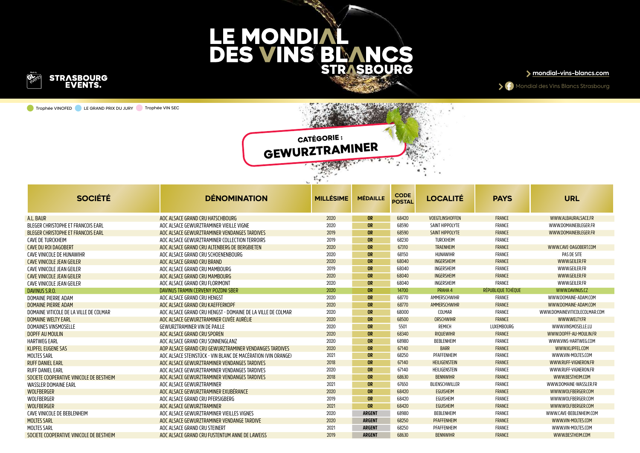

Trophée VINOFED LE GRAND PRIX DU JURY Trophée VIN SEC



Mondial des Vins Blancs Strasbourg

#### **CATÉGORIE : GEWURZTRAMINER**

|                                           |                                                              | $\mathcal{L}_{\mathbf{v}}$ .<br>No. |                 |                              |                        |                    |                               |
|-------------------------------------------|--------------------------------------------------------------|-------------------------------------|-----------------|------------------------------|------------------------|--------------------|-------------------------------|
| <b>SOCIÉTÉ</b>                            | <b>DÉNOMINATION</b>                                          | <b>MILLÉSIME</b>                    | <b>MÉDAILLE</b> | <b>CODE</b><br><b>POSTAL</b> | <b>LOCALITÉ</b>        | <b>PAYS</b>        | <b>URL</b>                    |
| A.L. BAUR                                 | AOC ALSACE GRAND CRU HATSCHBOURG                             | 2020                                | <b>OR</b>       | 68420                        | <b>VOEGTLINSHOFFEN</b> | <b>FRANCE</b>      | WWW.ALBAURALSACE.FR           |
| BLEGER CHRISTOPHE ET FRANCOIS EARL        | AOC ALSACE GEWURZTRAMINER VIEILLE VIGNE                      | 2020                                | <b>OR</b>       | 68590                        | SAINT HIPPOLYTE        | FRANCE             | WWW.DOMAINEBLEGER.FR          |
| <b>BLEGER CHRISTOPHE ET FRANCOIS EARL</b> | AOC ALSACE GEWURZTRAMINER VENDANGES TARDIVES                 | 2019                                | <b>OR</b>       | 68590                        | SAINT HIPPOLYTE        | FRANCE             | WWW.DOMAINEBLEGER.FR          |
| CAVE DE TURCKHEIM                         | AOC ALSACE GEWURZTRAMINER COLLECTION TERROIRS                | 2019                                | <b>OR</b>       | 68230                        | TURCKHEIM              | FRANCE             |                               |
| <b>CAVE DU ROI DAGOBERT</b>               | AOC ALSACE GRAND CRU ALTENBERG DE BERGBIETEN                 | 2020                                | <b>OR</b>       | 67310                        | <b>TRAENHEIM</b>       | <b>FRANCE</b>      | WWW.CAVE-DAGOBERT.COM         |
| CAVE VINICOLE DE HUNAWIHR                 | AOC ALSACE GRAND CRU SCHOENENBOURG                           | 2020                                | <b>OR</b>       | 68150                        | HUNAWIHR               | FRANCE             | PAS DE SITE                   |
| <b>CAVE VINICOLE JEAN GEILER</b>          | AOC ALSACE GRAND CRU BRAND                                   | 2020                                | <b>OR</b>       | 68040                        | <b>INGERSHEIM</b>      | FRANCE             | WWW.GEILER.FR                 |
| CAVE VINICOLE JEAN GEILER                 | AOC ALSACE GRAND CRU MAMBOURG                                | 2019                                | <b>OR</b>       | 68040                        | INGERSHEIM             | FRANCE             | WWW.GEILER.FR                 |
| CAVE VINICOLE JEAN GEILER                 | AOC ALSACE GRAND CRU MAMBOURG                                | 2020                                | <b>OR</b>       | 68040                        | <b>INGERSHEIM</b>      | <b>FRANCE</b>      | WWW.GEILER.FR                 |
| CAVE VINICOLE JEAN GEILER                 | AOC ALSACE GRAND CRU FLORIMONT                               | 2020                                | <b>OR</b>       | 68040                        | INGERSHEIM             | FRANCE             | WWW.GEILER.FR                 |
| DAVINUS S.R.O.                            | DAVINUS TRAMIN CERVENY POZDNI SBER                           | 2020                                | <b>OR</b>       | 14700                        | PRAHA 4                | RÉPUBLIQUE TCHÈQUE | WWW.DAVINUS.CZ                |
| DOMAINE PIERRE ADAM                       | AOC ALSACE GRAND CRU HENGST                                  | 2020                                | <b>OR</b>       | 68770                        | AMMERSCHWIHR           | FRANCE             | WWW.DOMAINE-ADAM.COM          |
| DOMAINE PIERRE ADAM                       | AOC ALSACE GRAND CRU KAEFFERKOPF                             | 2020                                | <b>OR</b>       | 68770                        | AMMERSCHWIHR           | FRANCE             | WWW.DOMAINE-ADAM.COM          |
| DOMAINE VITICOLE DE LA VILLE DE COLMAR    | AOC ALSACE GRAND CRU HENGST - DOMAINE DE LA VILLE DE COLMAR  | 2020                                | <b>OR</b>       | 68000                        | COLMAR                 | FRANCE             | WWW.DOMAINEVITICOLECOLMAR.COM |
| DOMAINE WELTY EARL                        | AOC ALSACE GEWURZTRAMINER CUVÉE AURÉLIE                      | 2020                                | <b>OR</b>       | 68500                        | ORSCHWIHR              | FRANCE             | WWW.WELTY.FR                  |
| DOMAINES VINSMOSELLE                      | <b>GEWURZTRAMINER VIN DE PAILLE</b>                          | 2020                                | <b>OR</b>       | 5501                         | REMICH                 | LUXEMBOURG         | WWW.VINSMOSELLE.LU            |
| DOPFF AU MOULIN                           | AOC ALSACE GRAND CRU SPOREN                                  | 2020                                | <b>OR</b>       | 68340                        | <b>RIQUEWIHR</b>       | FRANCE             | WWW.DOPFF-AU-MOULIN.FR        |
| <b>HARTWEG EARL</b>                       | AOC ALSACE GRAND CRU SONNENGLANZ                             | 2020                                | <b>OR</b>       | 68980                        | BEBLENHEIM             | FRANCE             | WWW.VINS-HARTWEG.COM          |
| KLIPFEL EUGENE SAS                        | AOP ALSACE GRAND CRU GEWURZTRAMINER VENDANGES TARDIVES       | 2020                                | <b>OR</b>       | 67140                        | <b>BARR</b>            | <b>FRANCE</b>      | WWW.KLIPFEL.COM               |
| <b>MOLTES SARL</b>                        | AOC ALSACE STEINSTÜCK - VIN BLANC DE MACÉRATION (VIN ORANGE) | 2021                                | <b>OR</b>       | 68250                        | PFAFFENHEIM            | FRANCE             | WWW.VIN-MOLTES.COM            |
| <b>RUFF DANIEL EARL</b>                   | AOC ALSACE GEWURZTRAMINER VENDANGES TARDIVES                 | 2018                                | <b>OR</b>       | 67140                        | HEILIGENSTEIN          | FRANCE             | WWW.RUFF-VIGNERON.FR          |
| <b>RUFF DANIEL EARL</b>                   | AOC ALSACE GEWURZTRAMINER VENDANGES TARDIVES                 | 2020                                | <b>OR</b>       | 67140                        | HEILIGENSTEIN          | FRANCE             | WWW.RUFF-VIGNERON.FR          |
| SOCIETE COOPERATIVE VINICOLE DE BESTHEIM  | AOC ALSACE GEWURZTRAMINER VENDANGES TARDIVES                 | 2018                                | <b>OR</b>       | 68630                        | <b>BENNWIHR</b>        | FRANCE             | WWW.BESTHEIM.COM              |
| <b>WASSLER DOMAINE EARL</b>               | AOC ALSACE GEWURZTRAMINER                                    | 2021                                | <b>OR</b>       | 67650                        | BLIENSCHWILLER         | FRANCE             | WWW.DOMAINE-WASSLER.FR        |
| WOLFBERGER                                | AOC ALSACE GEWURZTRAMINER EXUBÉRANCE                         | 2020                                | <b>OR</b>       | 68420                        | <b>EGUISHEIM</b>       | FRANCE             | WWW.WOLFBERGER.COM            |
| WOLFBERGER                                | AOC ALSACE GRAND CRU PFERSIGBERG                             | 2019                                | <b>OR</b>       | 68420                        | EGUISHEIM              | FRANCE             | WWW.WOLFBERGER.COM            |
| WOLFBERGER                                | AOC ALSACE GEWURZTRAMINER                                    | 2021                                | <b>OR</b>       | 68420                        | <b>EGUISHEIM</b>       | FRANCE             | WWW.WOLFBERGER.COM            |
| CAVE VINICOLE DE BEBLENHEIM               | AOC ALSACE GEWURZTRAMINER VIEILLES VIGNES                    | 2020                                | <b>ARGENT</b>   | 68980                        | BEBLENHEIM             | FRANCE             | WWW.CAVE-BEBLENHEIM.COM       |
| <b>MOLTES SARL</b>                        | AOC ALSACE GEWURZTRAMINER VENDANGE TARDIVE                   | 2020                                | <b>ARGENT</b>   | 68250                        | PFAFFENHEIM            | FRANCE             | WWW.VIN-MOLTES.COM            |
| <b>MOLTES SARL</b>                        | AOC ALSACE GRAND CRU STEINERT                                | 2021                                | <b>ARGENT</b>   | 68250                        | PFAFFENHEIM            | FRANCE             | WWW.VIN-MOLTES.COM            |
| SOCIETE COOPERATIVE VINICOLE DE BESTHEIM  | AOC ALSACE GRAND CRU FUSTENTUM ANNE DE LAWEISS               | 2019                                | <b>ARGENT</b>   | 68630                        | <b>BENNWIHR</b>        | FRANCE             | WWW.BESTHEIM.COM              |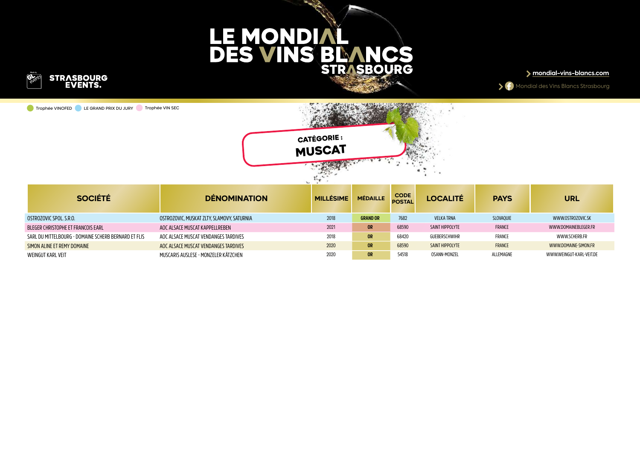

Trophée VINOFED LE GRAND PRIX DU JURY Trophée VIN SEC





| <b>SOCIÉTÉ</b>                                       | <b>DÉNOMINATION</b>                        | <b>MILLÉSIME</b> | <b>MÉDAILLE</b> | <b>CODE</b><br><b>POSTAL</b> | <b>LOCALITÉ</b>   | <b>PAYS</b>      | URL                      |
|------------------------------------------------------|--------------------------------------------|------------------|-----------------|------------------------------|-------------------|------------------|--------------------------|
| OSTROZOVIC SPOL. S.R.O.                              | OSTROZOVIC. MUSKAT ZLTY. SLAMOVY. SATURNIA | 2018             | <b>GRAND OR</b> | 7682                         | <b>VELKA TRNA</b> | <b>SLOVAOUIE</b> | WWW.OSTROZOVIC.SK        |
| BLEGER CHRISTOPHE ET FRANCOIS EARL                   | AOC ALSACE MUSCAT KAPPELLREBEN             | 2021             | <b>OR</b>       | 68590                        | SAINT HIPPOLYTE   | FRANCE           | WWW.DOMAINEBLEGER.FR     |
| SARL DU MITTELBOURG - DOMAINE SCHERB BERNARD ET FLIS | AOC ALSACE MUSCAT VENDANGES TARDIVES       | 2018             | <b>OR</b>       | 68420                        | GUEBERSCHWIHR     | FRANCE           | WWW.SCHERB.FR            |
| SIMON ALINE ET REMY DOMAINE                          | AOC ALSACE MUSCAT VENDANGES TARDIVES       | 2020             | <b>OR</b>       | 68590                        | SAINT HIPPOLYTE   | FRANCE           | WWW.DOMAINE-SIMON.FR     |
| WEINGUT KARL VEIT                                    | MUSCARIS AUSLESE - MONZELER KÄTZCHEN       | 2020             | <b>OR</b>       | 54518                        | OSANN-MONZEL      | ALLEMAGNE        | WWW.WEINGUT-KARL-VEIT.DE |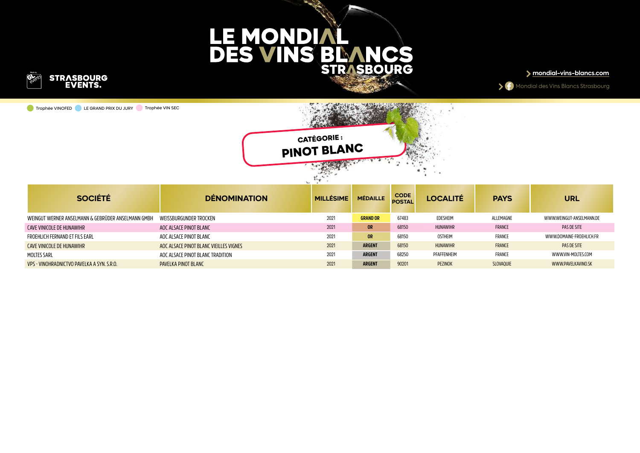

Trophée VINOFED LE GRAND PRIX DU JURY Trophée VIN SEC

**mondial-vins-blancs.com**





| SOCIÉTÉ                                            | <b>DÉNOMINATION</b>                    | <b>MILLÉSIME</b> | <b>MÉDAILLE</b> | <b>CODE</b><br><b>POSTAL</b> | <b>LOCALITÉ</b> | <b>PAYS</b>      | <b>URL</b>               |
|----------------------------------------------------|----------------------------------------|------------------|-----------------|------------------------------|-----------------|------------------|--------------------------|
| WEINGUT WERNER ANSELMANN & GEBRÜDER ANSELMANN GMBH | WEISSBURGUNDER TROCKEN                 | 2021             | <b>GRAND OR</b> | 67483                        | EDESHEIM        | ALLEMAGNE        | WWW.WEINGUT-ANSELMANN.DE |
| CAVE VINICOLE DE HUNAWIHR                          | AOC ALSACE PINOT BLANC                 | 2021             | <b>OR</b>       | 68150                        | <b>HUNAWIHR</b> | <b>FRANCE</b>    | PAS DE SITE              |
| FROEHLICH FERNAND ET FILS EARL                     | AOC ALSACE PINOT BLANC                 | 2021             | <b>OR</b>       | 68150                        | <b>OSTHEIM</b>  | FRANCE           | WWW.DOMAINE-FROEHLICH.FR |
| CAVE VINICOLE DE HUNAWIHR                          | AOC ALSACE PINOT BLANC VIEILLES VIGNES | 2021             | <b>ARGENT</b>   | 68150                        | <b>HUNAWIHR</b> | <b>FRANCE</b>    | PAS DE SITE              |
| MOLTES SARL                                        | AOC ALSACE PINOT BLANC TRADITION       | 2021             | <b>ARGENT</b>   | 68250                        | PFAFFENHEIM     | FRANCE           | WWW.VIN-MOLTES.COM       |
| VPS - VINOHRADNICTVO PAVELKA A SYN. S.R.O.         | PAVELKA PINOT BLANC                    | 2021             | <b>ARGENT</b>   | 90201                        | PEZINOK         | <b>SLOVAOUIE</b> | WWW.PAVELKAVINO.SK       |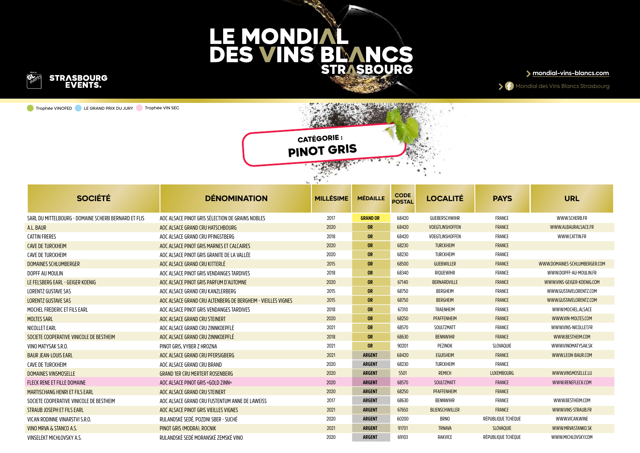

Trophée VINOFED LE GRAND PRIX DU JURY Trophée VIN SEC





| <b>SOCIÉTÉ</b>                                       | <b>DÉNOMINATION</b>                                          | <b>MILLÉSIME</b> | <b>MÉDAILLE</b> | <b>CODE</b><br><b>POSTAL</b> | <b>LOCALITÉ</b>        | <b>PAYS</b>        | <b>URL</b>                    |
|------------------------------------------------------|--------------------------------------------------------------|------------------|-----------------|------------------------------|------------------------|--------------------|-------------------------------|
| SARL DU MITTELBOURG - DOMAINE SCHERB BERNARD ET FLIS | AOC ALSACE PINOT GRIS SÉLECTION DE GRAINS NOBLES             | 2017             | <b>GRAND OR</b> | 68420                        | GUEBERSCHWIHR          | FRANCE             | WWW.SCHERB.FR                 |
| A.L. BAUR                                            | AOC ALSACE GRAND CRU HATSCHBOURG                             | 2020             | <b>OR</b>       | 68420                        | <b>VOEGTLINSHOFFEN</b> | <b>FRANCE</b>      | WWW.ALBAURALSACE.FR           |
| <b>CATTIN FRERES</b>                                 | AOC ALSACE GRAND CRU PFINGSTBERG                             | 2018             | <b>OR</b>       | 68420                        | VOEGTLINSHOFFEN        | FRANCE             | WWW.CATTIN.FR                 |
| <b>CAVE DE TURCKHEIM</b>                             | AOC ALSACE PINOT GRIS MARNES ET CALCAIRES                    | 2020             | <b>OR</b>       | 68230                        | <b>TURCKHEIM</b>       | <b>FRANCE</b>      |                               |
| <b>CAVE DE TURCKHEIM</b>                             | AOC ALSACE PINOT GRIS GRANITE DE LA VALLÉE                   | 2020             | <b>OR</b>       | 68230                        | <b>TURCKHEIM</b>       | FRANCE             |                               |
| <b>DOMAINES SCHLUMBERGER</b>                         | AOC ALSACE GRAND CRU KITTERLÉ                                | 2015             | OR              | 68500                        | GUEBWILLER             | <b>FRANCE</b>      | WWW.DOMAINES-SCHLUMBERGER.COM |
| DOPFF AU MOULIN                                      | AOC ALSACE PINOT GRIS VENDANGES TARDIVES                     | 2018             | <b>OR</b>       | 68340                        | RIQUEWIHR              | <b>FRANCE</b>      | WWW.DOPFF-AU-MOULIN.FR        |
| LE FELSBERG EARL - GEIGER KOENIG                     | AOC ALSACE PINOT GRIS PARFUM D'AUTOMNE                       | 2020             | <b>OR</b>       | 67140                        | BERNARDVILLE           | <b>FRANCE</b>      | WWW.VINS-GEIGER-KOENIG.COM    |
| <b>LORENTZ GUSTAVE SAS</b>                           | AOC ALSACE GRAND CRU KANZLERBERG                             | 2015             | <b>OR</b>       | 68750                        | BERGHEIM               | <b>FRANCE</b>      | WWW.GUSTAVELORENTZ.COM        |
| <b>LORENTZ GUSTAVE SAS</b>                           | AOC ALSACE GRAND CRU ALTENBERG DE BERGHEIM - VIEILLES VIGNES | 2015             | <b>OR</b>       | 68750                        | <b>BERGHEIM</b>        | <b>FRANCE</b>      | WWW.GUSTAVELORENTZ.COM        |
| MOCHEL FREDERIC ET FILS EARL                         | AOC ALSACE PINOT GRIS VENDANGES TARDIVES                     | 2018             | <b>OR</b>       | 67310                        | TRAENHEIM              | FRANCE             | WWW.MOCHEL.ALSACE             |
| <b>MOLTES SARL</b>                                   | AOC ALSACE GRAND CRU STEINERT                                | 2020             | <b>OR</b>       | 68250                        | PFAFFENHEIM            | <b>FRANCE</b>      | WWW.VIN-MOLTES.COM            |
| NICOLLET EARL                                        | AOC ALSACE GRAND CRU ZINNKOEPFLÉ                             | 2021             | <b>OR</b>       | 68570                        | SOULTZMATT             | FRANCE             | WWW.VINS-NICOLLET.FR          |
| SOCIETE COOPERATIVE VINICOLE DE BESTHEIM             | AOC ALSACE GRAND CRU ZINNKOEPFLÉ                             | 2018             | <b>OR</b>       | 68630                        | <b>BENNWIHR</b>        | FRANCE             | WWW.BESTHEIM.COM              |
| VINO MATYSAK S.R.O.                                  | PINOT GRIS. VYBER Z HROZNA                                   | 2021             | <b>OR</b>       | 90201                        | PEZINOK                | SLOVAQUIE          | WWW.VINOMATYSAK.SK            |
| <b>BAUR JEAN-LOUIS EARL</b>                          | AOC ALSACE GRAND CRU PFERSIGBERG                             | 2021             | <b>ARGENT</b>   | 68420                        | <b>EGUISHEIM</b>       | <b>FRANCE</b>      | WWW.LEON-BAUR.COM             |
| CAVE DE TURCKHEIM                                    | AOC ALSACE GRAND CRU BRAND                                   | 2020             | <b>ARGENT</b>   | 68230                        | TURCKHEIM              | FRANCE             |                               |
| DOMAINES VINSMOSELLE                                 | <b>GRAND 1ER CRU MERTERT ROSENBERG</b>                       | 2020             | <b>ARGENT</b>   | 5501                         | <b>REMICH</b>          | <b>LUXEMBOURG</b>  | WWW.VINSMOSELLE.LU            |
| FLECK RENE ET FILLE DOMAINE                          | AOC ALSACE PINOT GRIS «GOLD ZINN»                            | 2020             | <b>ARGENT</b>   | 68570                        | SOULTZMATT             | FRANCE             | WWW.RENEFLECK.COM             |
| <b>MARTISCHANG HENRI ET FILS EARL</b>                | AOC ALSACE GRAND CRU STEINERT                                | 2020             | <b>ARGENT</b>   | 68250                        | PFAFFENHEIM            | <b>FRANCE</b>      |                               |
| SOCIETE COOPERATIVE VINICOLE DE BESTHEIM             | AOC ALSACE GRAND CRU FUSTENTUM ANNE DE LAWEISS               | 2017             | <b>ARGENT</b>   | 68630                        | <b>BENNWIHR</b>        | <b>FRANCE</b>      | WWW.BESTHEIM.COM              |
| STRAUB JOSEPH ET FILS EARL                           | AOC ALSACE PINOT GRIS VIEILLES VIGNES                        | 2021             | <b>ARGENT</b>   | 67650                        | <b>BLIENSCHWILLER</b>  | FRANCE             | WWW.VINS-STRAUB.FR            |
| VICAN RODINNE VINARSTVI S.R.O.                       | RULANDSKÉ SEDÉ, POZDNI SBER - SUCHÉ                          | 2020             | <b>ARGENT</b>   | 60200                        | <b>BRNO</b>            | RÉPUBLIQUE TCHÈQUE | WWW.VICAN.WINE                |
| VINO MRVA & STANCO A.S.                              | PINOT GRIS (MODRA), ROCNIK                                   | 2021             | <b>ARGENT</b>   | 91701                        | <b>TRNAVA</b>          | SLOVAQUIE          | WWW.MRVASTANKO.SK             |
| VINSELEKT MICHLOVSKY A.S.                            | RULANDSKÉ SEDÉ MORANSKÉ ZEMSKÉ VINO                          | 2020             | <b>ARGENT</b>   | 69103                        | RAKVICE                | RÉPUBLIOUE TCHÈOUE | WWW.MICHLOVSKY.COM            |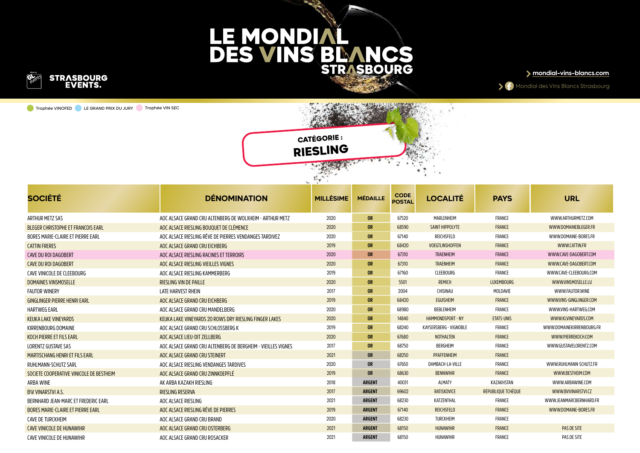

Trophée VINOFED LE GRAND PRIX DU JURY Trophée VIN SEC





| <b>SOCIÉTÉ</b>                           | <b>DÉNOMINATION</b>                                          | <b>MILLÉSIME</b> | <b>MÉDAILLE</b> | <b>CODE</b><br><b>POSTAL</b> | <b>LOCALITÉ</b>          | <b>PAYS</b>        | <b>URL</b>                |
|------------------------------------------|--------------------------------------------------------------|------------------|-----------------|------------------------------|--------------------------|--------------------|---------------------------|
| ARTHUR METZ SAS                          | AOC ALSACE GRAND CRU ALTENBERG DE WOLXHEIM - ARTHUR METZ     | 2020             | <b>OR</b>       | 67520                        | MARLENHEIM               | FRANCE             | WWW.ARTHURMETZ.COM        |
| BLEGER CHRISTOPHE ET FRANCOIS EARL       | AOC ALSACE RIESLING BOUOUET DE CLÉMENCE                      | 2020             | <b>OR</b>       | 68590                        | SAINT HIPPOLYTE          | FRANCE             | WWW.DOMAINEBLEGER.FR      |
| BORES MARIE-CLAIRE ET PIERRE EARL        | AOC ALSACE RIESLING RÊVE DE PIERRES VENDANGES TARDIVEZ       | 2020             | <b>OR</b>       | 67140                        | REICHSFELD               | FRANCE             | WWW.DOMAINE-BORES.FR      |
| <b>CATTIN FRERES</b>                     | AOC ALSACE GRAND CRU EICHBERG                                | 2019             | <b>OR</b>       | 68420                        | VOEGTLINSHOFFEN          | FRANCE             | WWW.CATTIN.FR             |
| CAVE DU ROI DAGOBERT                     | AOC ALSACE RIESLING RACINES ET TERROIRS                      | 2020             | <b>OR</b>       | 67310                        | <b>TRAENHEIM</b>         | FRANCE             | WWW.CAVE-DAGOBERT.COM     |
| <b>CAVE DU ROI DAGOBERT</b>              | AOC ALSACE RIESLING VIEILLES VIGNES                          | 2020             | <b>OR</b>       | 67310                        | <b>TRAENHEIM</b>         | FRANCE             | WWW.CAVE-DAGOBERT.COM     |
| CAVE VINICOLE DE CLEEBOURG               | AOC ALSACE RIESLING KAMMERBERG                               | 2019             | <b>OR</b>       | 67160                        | <b>CLEEBOURG</b>         | FRANCE             | WWW.CAVE-CLEEBOURG.COM    |
| DOMAINES VINSMOSELLE                     | <b>RIESLING VIN DE PAILLE</b>                                | 2020             | <b>OR</b>       | 5501                         | <b>REMICH</b>            | <b>LUXEMBOURG</b>  | WWW.VINSMOSELLE.LU        |
| <b>FAUTOR WINERY</b>                     | <b>LATE HARVEST RHEIN</b>                                    | 2017             | <b>OR</b>       | 2004                         | CHISINAU                 | MOLDAVIE           | WWW.FAUTOR.WINE           |
| <b>GINGLINGER PIERRE HENRI EARL</b>      | AOC ALSACE GRAND CRU EICHBERG                                | 2019             | <b>OR</b>       | 68420                        | <b>EGUISHEIM</b>         | FRANCE             | WWW.VINS-GINGLINGER.COM   |
| <b>HARTWEG EARL</b>                      | AOC ALSACE GRAND CRU MANDELBERG                              | 2020             | <b>OR</b>       | 68980                        | BEBLENHEIM               | FRANCE             | WWW.VINS-HARTWEG.COM      |
| <b>KEUKA LAKE VINEYARDS</b>              | KEUKA LAKE VINEYARDS 20 ROWS DRY RIESLING FINGER LAKES       | 2020             | <b>OR</b>       | 14840                        | <b>HAMMONDSPORT - NY</b> | <b>ETATS-UNIS</b>  | WWW.KLVINEYARDS.COM       |
| KIRRENBOURG DOMAINE                      | AOC ALSACE GRAND CRU SCHLOSSBERG K                           | 2019             | <b>OR</b>       | 68240                        | KAYSERSBERG - VIGNOBLE   | FRANCE             | WWW.DOMAINEKIRRENBOURG.FR |
| KOCH PIERRE ET FILS EARL                 | AOC ALSACE LIEU-DIT ZELLBERG                                 | 2020             | <b>OR</b>       | 67680                        | <b>NOTHALTEN</b>         | FRANCE             | WWW.PIERREKOCH.COM        |
| LORENTZ GUSTAVE SAS                      | AOC ALSACE GRAND CRU ALTENBERG DE BERGHEIM - VIEILLES VIGNES | 2017             | <b>OR</b>       | 68750                        | BERGHEIM                 | FRANCE             | WWW.GUSTAVELORENTZ.COM    |
| <b>MARTISCHANG HENRI ET FILS EARL</b>    | AOC ALSACE GRAND CRU STEINERT                                | 2021             | <b>OR</b>       | 68250                        | PFAFFENHEIM              | FRANCE             |                           |
| RUHLMANN-SCHUTZ SARL                     | AOC ALSACE RIESLING VENDANGES TARDIVES                       | 2020             | <b>OR</b>       | 67650                        | DAMBACH-LA-VILLE         | FRANCE             | WWW.RUHLMANN-SCHUTZ.FR    |
| SOCIETE COOPERATIVE VINICOLE DE BESTHEIM | AOC ALSACE GRAND CRU ZINNKOEPFLÉ                             | 2019             | <b>OR</b>       | 68630                        | <b>BENNWIHR</b>          | FRANCE             | WWW.BESTHEIM.COM          |
| <b>ARBA WINE</b>                         | AK ARBA KAZAKH RIESLING                                      | 2018             | <b>ARGENT</b>   | 40031                        | ALMATY                   | KAZAKHSTAN         | WWW.ARBAWINE.COM          |
| <b>BW VINARSTVI A.S.</b>                 | <b>RIESLING RESERVA</b>                                      | 2017             | <b>ARGENT</b>   | 69602                        | <b>RATISKOVICE</b>       | RÉPUBLIOUE TCHÈOUE | WWW.BVVINARSTVI.CZ        |
| BERNHARD JEAN-MARC ET FREDERIC EARL      | AOC ALSACE RIESLING                                          | 2021             | <b>ARGENT</b>   | 68230                        | KATZENTHAL               | FRANCE             | WWW.JEANMARCBERNHARD.FR   |
| <b>BORES MARIE-CLAIRE ET PIERRE EARL</b> | AOC ALSACE RIESLING RÊVE DE PIERRES                          | 2019             | <b>ARGENT</b>   | 67140                        | <b>REICHSFELD</b>        | FRANCE             | WWW.DOMAINE-BORES.FR      |
| CAVE DE TURCKHEIM                        | AOC ALSACE GRAND CRU BRAND                                   | 2020             | <b>ARGENT</b>   | 68230                        | TURCKHEIM                | FRANCE             |                           |
| <b>CAVE VINICOLE DE HUNAWIHR</b>         | AOC ALSACE GRAND CRU OSTERBERG                               | 2021             | <b>ARGENT</b>   | 68150                        | <b>HUNAWIHR</b>          | FRANCE             | PAS DE SITE               |
| CAVE VINICOLE DE HUNAWIHR                | AOC ALSACE GRAND CRU ROSACKER                                | 2021             | <b>ARGENT</b>   | 68150                        | HUNAWIHR                 | FRANCE             | PAS DE SITE               |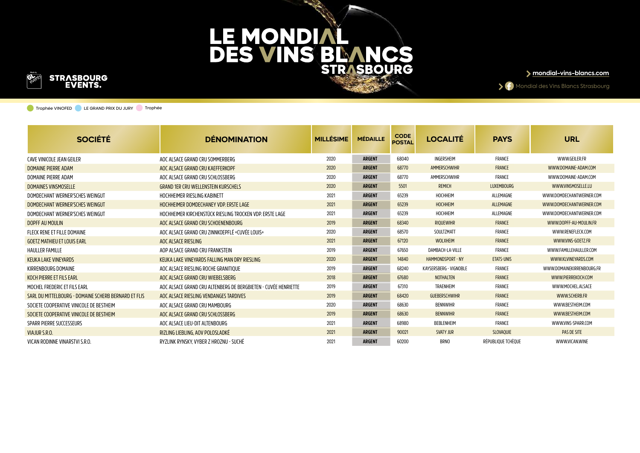

**mondial-vins-blancs.com**

Mondial des Vins Blancs Strasbourg

Trophée VINOFED LE GRAND PRIX DU JURY Trophée

| <b>SOCIÉTÉ</b>                                       | <b>DENOMINATION</b>                                            | <b>MILLÉSIME</b> | <b>MÉDAILLE</b> | <b>CODE</b><br><b>POSTAL</b> | <b>LOCALITÉ</b>          | <b>PAYS</b>        | <b>URL</b>                |
|------------------------------------------------------|----------------------------------------------------------------|------------------|-----------------|------------------------------|--------------------------|--------------------|---------------------------|
| CAVE VINICOLE JEAN GEILER                            | AOC ALSACE GRAND CRU SOMMERBERG                                | 2020             | <b>ARGENT</b>   | 68040                        | INGERSHEIM               | FRANCE             | WWW.GEILER.FR             |
| DOMAINE PIERRE ADAM                                  | AOC ALSACE GRAND CRU KAEFFERKOPF                               | 2020             | <b>ARGENT</b>   | 68770                        | AMMERSCHWIHR             | FRANCE             | WWW.DOMAINE-ADAM.COM      |
| DOMAINE PIERRE ADAM                                  | AOC ALSACE GRAND CRU SCHLOSSBERG                               | 2020             | <b>ARGENT</b>   | 68770                        | AMMERSCHWIHR             | FRANCE             | WWW.DOMAINE-ADAM.COM      |
| DOMAINES VINSMOSELLE                                 | <b>GRAND 1ER CRU WELLENSTEIN KURSCHELS</b>                     | 2020             | <b>ARGENT</b>   | 5501                         | <b>REMICH</b>            | <b>LUXEMBOURG</b>  | WWW.VINSMOSELLE.LU        |
| DOMDECHANT WERNER'SCHES WEINGUT                      | HOCHHEIMER RIESLING KABINETT                                   | 2021             | <b>ARGENT</b>   | 65239                        | HOCHHEIM                 | ALLEMAGNE          | WWW.DOMDECHANTWERNER.COM  |
| DOMDECHANT WERNER'SCHES WEINGUT                      | HOCHHEIMER DOMDECHANEY VDP. ERSTE LAGE                         | 2021             | <b>ARGENT</b>   | 65239                        | <b>HOCHHEIM</b>          | ALLEMAGNE          | WWW.DOMDECHANTWERNER.COM  |
| DOMDECHANT WERNER'SCHES WEINGUT                      | HOCHHEIMER KIRCHENSTÜCK RIESLING TROCKEN VDP. ERSTE LAGE       | 2021             | <b>ARGENT</b>   | 65239                        | HOCHHEIM                 | ALLEMAGNE          | WWW.DOMDECHANTWERNER.COM  |
| <b>DOPFF AU MOULIN</b>                               | AOC ALSACE GRAND CRU SCHOENENBOURG                             | 2019             | <b>ARGENT</b>   | 68340                        | <b>RIOUEWIHR</b>         | FRANCE             | WWW.DOPFF-AU-MOULIN.FR    |
| FLECK RENE ET FILLE DOMAINE                          | AOC ALSACE GRAND CRU ZINNKOEPFLÉ «CUVÉE LOUIS»                 | 2020             | <b>ARGENT</b>   | 68570                        | SOULTZMATT               | FRANCE             | WWW.RENEFLECK.COM         |
| <b>GOETZ MATHIEU ET LOUIS EARL</b>                   | AOC ALSACE RIESLING                                            | 2021             | <b>ARGENT</b>   | 67120                        | <b>WOLXHEIM</b>          | FRANCE             | WWW.VINS-GOETZ.FR         |
| <b>HAULLER FAMILLE</b>                               | AOP ALSACE GRAND CRU FRANKSTEIN                                | 2019             | <b>ARGENT</b>   | 67650                        | DAMBACH-LA-VILLE         | FRANCE             | WWW.FAMILLEHAULLER.COM    |
| <b>KEUKA LAKE VINEYARDS</b>                          | KEUKA LAKE VINEYARDS FALLING MAN DRY RIESLING                  | 2020             | <b>ARGENT</b>   | 14840                        | <b>HAMMONDSPORT - NY</b> | <b>ETATS-UNIS</b>  | WWW.KLVINEYARDS.COM       |
| KIRRENBOURG DOMAINE                                  | AOC ALSACE RIESLING ROCHE GRANITIOUE                           | 2019             | <b>ARGENT</b>   | 68240                        | KAYSERSBERG - VIGNOBLE   | FRANCE             | WWW.DOMAINEKIRRENBOURG.FR |
| KOCH PIERRE ET FILS EARL                             | AOC ALSACE GRAND CRU WIEBELSBERG                               | 2018             | <b>ARGENT</b>   | 67680                        | <b>NOTHALTEN</b>         | FRANCE             | WWW.PIERREKOCH.COM        |
| MOCHEL FREDERIC ET FILS EARL                         | AOC ALSACE GRAND CRU ALTENBERG DE BERGBIETEN - CUVÉE HENRIETTE | 2019             | <b>ARGENT</b>   | 67310                        | TRAENHEIM                | FRANCE             | WWW.MOCHEL.ALSACE         |
| SARL DU MITTELBOURG - DOMAINE SCHERB BERNARD ET FLIS | AOC ALSACE RIESLING VENDANGES TARDIVES                         | 2019             | <b>ARGENT</b>   | 68420                        | <b>GUEBERSCHWIHR</b>     | FRANCE             | WWW.SCHERB.FR             |
| SOCIETE COOPERATIVE VINICOLE DE BESTHEIM             | AOC ALSACE GRAND CRU MAMBOURG                                  | 2020             | <b>ARGENT</b>   | 68630                        | <b>BENNWIHR</b>          | FRANCE             | WWW.BESTHEIM.COM          |
| SOCIETE COOPERATIVE VINICOLE DE BESTHEIM             | AOC ALSACE GRAND CRU SCHLOSSBERG                               | 2019             | <b>ARGENT</b>   | 68630                        | <b>BENNWIHR</b>          | FRANCE             | WWW.BESTHEIM.COM          |
| SPARR PIERRE SUCCESSEURS                             | AOC ALSACE LIEU-DIT ALTENBOURG                                 | 2021             | <b>ARGENT</b>   | 68980                        | BEBLENHEIM               | FRANCE             | WWW.VINS-SPARR.COM        |
| <b>VIAJUR S.R.O.</b>                                 | RIZLING LIEBLING. AOV POLOSLADKÉ                               | 2021             | <b>ARGENT</b>   | 90021                        | <b>SVATY JUR</b>         | <b>SLOVAOUIE</b>   | PAS DE SITE               |
| VICAN RODINNE VINARSTVI S.R.O.                       | RYZLINK RYNSKY. VYBER Z HROZNU - SUCHÉ                         | 2021             | <b>ARGENT</b>   | 60200                        | <b>BRNO</b>              | RÉPUBLIQUE TCHÈQUE | WWW.VICAN.WINE            |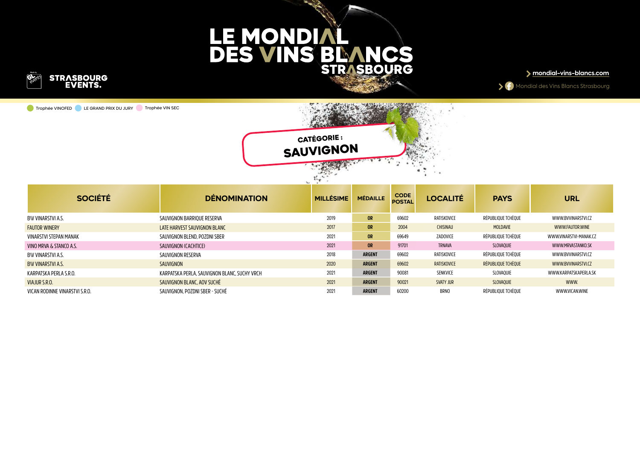

Trophée VINOFED LE GRAND PRIX DU JURY Trophée VIN SEC





| <b>SOCIÉTÉ</b>                 | <b>DÉNOMINATION</b>                          | <b>MILLÉSIME</b> | <b>MÉDAILLE</b> | <b>CODE</b><br><b>POSTAL</b> | <b>LOCALITÉ</b>  | <b>PAYS</b>        | <b>URL</b>             |
|--------------------------------|----------------------------------------------|------------------|-----------------|------------------------------|------------------|--------------------|------------------------|
| BW VINARSTVI A.S.              | SAUVIGNON BARRIOUE RESERVA                   | 2019             | <b>OR</b>       | 69602                        | RATISKOVICE      | RÉPUBLIOUE TCHÈOUE | WWW.BVVINARSTVI.CZ     |
| <b>FAUTOR WINERY</b>           | LATE HARVEST SAUVIGNON BLANC                 | 2017             | <b>OR</b>       | 2004                         | <b>CHISINAU</b>  | MOLDAVIE           | WWW.FAUTOR.WINE        |
| VINARSTVI STEPAN MANAK         | SAUVIGNON BLEND, POZDNI SBER                 | 2021             | <b>OR</b>       | 69649                        | ZADOVICE         | RÉPUBLIOUE TCHÈOUE | WWW.VINARSTVI-MANAK.CZ |
| VINO MRVA & STANCO A.S.        | SAUVIGNON (CACHTICE)                         | 2021             | <b>OR</b>       | 91701                        | <b>TRNAVA</b>    | SLOVAOUIE          | WWW.MRVASTANKO.SK      |
| BW VINARSTVI A.S.              | SAUVIGNON RESERVA                            | 2018             | <b>ARGENT</b>   | 69602                        | RATISKOVICE      | RÉPUBLIOUE TCHÈOUE | WWW.BVVINARSTVI.CZ     |
| <b>BW VINARSTVI A.S.</b>       | SAUVIGNON                                    | 2020             | <b>ARGENT</b>   | 69602                        | RATISKOVICE      | RÉPUBLIOUE TCHÈOUE | WWW.BVVINARSTVI.CZ     |
| KARPATSKA PERLA S.R.O.         | KARPATSKA PERLA. SAUVIGNON BLANC. SUCHY VRCH | 2021             | <b>ARGENT</b>   | 90081                        | SENKVICE         | SLOVAOUIE          | WWW.KARPATSKAPERLA.SK  |
| VIAJUR S.R.O.                  | SAUVIGNON BLANC, AOV SUCHÉ                   | 2021             | <b>ARGENT</b>   | 90021                        | <b>SVATY JUR</b> | <b>SLOVAOUIE</b>   | WWW.                   |
| VICAN RODINNE VINARSTVI S.R.O. | SAUVIGNON, POZDNI SBER - SUCHÉ               | 2021             | <b>ARGENT</b>   | 60200                        | <b>BRNO</b>      | RÉPUBLIOUE TCHÈOUE | <b>WWW.VICAN.WINE</b>  |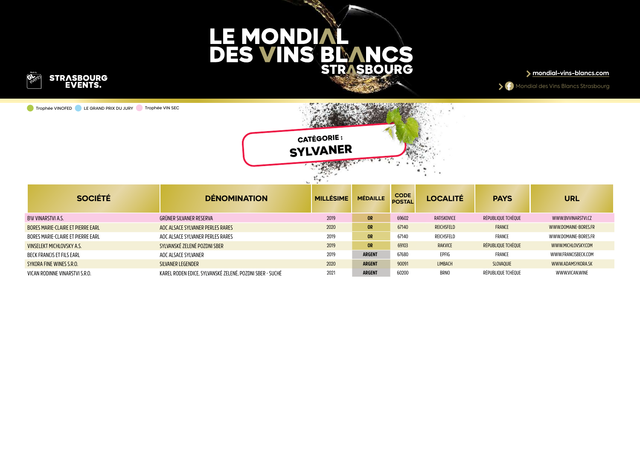

Trophée VINOFED LE GRAND PRIX DU JURY Trophée VIN SEC





| <b>SOCIÉTÉ</b>                    | <b>DÉNOMINATION</b>                                      | <b>MILLÉSIME</b> | <b>MÉDAILLE</b> | <b>CODE</b><br><b>POSTAL</b> | <b>LOCALITÉ</b> | <b>PAYS</b>        | <b>URL</b>            |
|-----------------------------------|----------------------------------------------------------|------------------|-----------------|------------------------------|-----------------|--------------------|-----------------------|
| BW VINARSTVI A.S.                 | GRÜNER SILVANER RESERVA                                  | 2019             | <b>OR</b>       | 69602                        | RATISKOVICE     | RÉPUBLIOUE TCHÈOUE | WWW.BVVINARSTVI.CZ    |
| BORES MARIE-CLAIRE ET PIERRE EARL | AOC ALSACE SYLVANER PERLES RARES                         | 2020             | <b>OR</b>       | 67140                        | REICHSFELD      | FRANCE             | WWW.DOMAINE-BORES.FR  |
| BORES MARIE-CLAIRE ET PIERRE EARL | AOC ALSACE SYLVANER PERLES RARES                         | 2019             | <b>OR</b>       | 67140                        | REICHSFELD      | FRANCE             | WWW.DOMAINE-BORES.FR  |
| VINSELEKT MICHLOVSKY A.S.         | SYLVANSKÉ ZELENÉ POZDNI SBER                             | 2019             | <b>OR</b>       | 69103                        | <b>RAKVICE</b>  | RÉPUBLIQUE TCHÈQUE | WWW.MICHLOVSKY.COM    |
| BECK FRANCIS ET FILS EARL         | AOC ALSACE SYLVANER                                      | 2019             | <b>ARGENT</b>   | 67680                        | EPFIG           | FRANCE             | WWW.FRANCISBECK.COM   |
| SYKORA FINE WINES S.R.O.          | SILVANER LEGENDER                                        | 2020             | <b>ARGENT</b>   | 90091                        | <b>LIMBACH</b>  | <b>SLOVAOUIE</b>   | WWW.ADAMSYKORA.SK     |
| VICAN RODINNE VINARSTVI S.R.O.    | KAREL RODEN EDICE. SYLVANSKÉ ZELENÉ. POZDNI SBER - SUCHÉ | 2021             | <b>ARGENT</b>   | 60200                        | <b>BRNO</b>     | RÉPUBLIOUE TCHÈOUE | <b>WWW.VICAN.WINE</b> |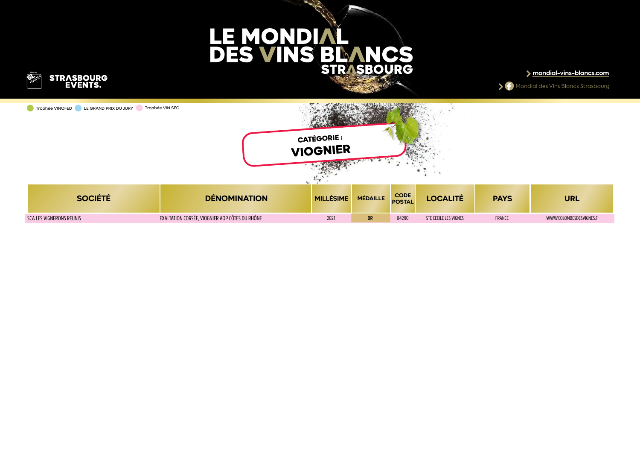

**mondial-vins-blancs.com**

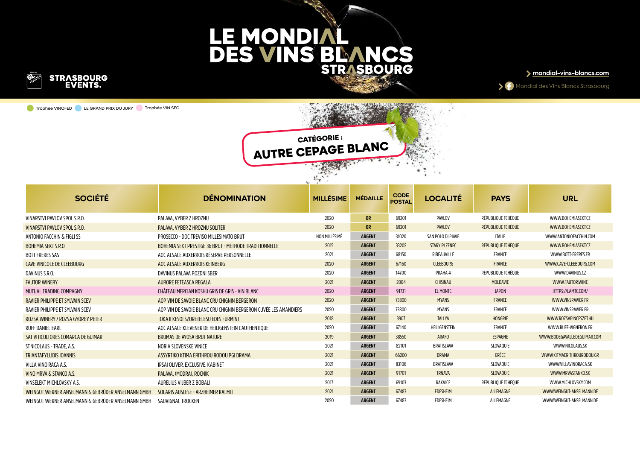

Trophée VINOFED LE GRAND PRIX DU JURY Trophée VIN SEC



Mondial des Vins Blancs Strasbourg

**CATÉGORIE : AUTRE CEPAGE BLANC**

| <b>SOCIÉTÉ</b>                                     | <b>DENOMINATION</b>                                              | <b>MILLÉSIME</b> | <b>MÉDAILLE</b> | <b>CODE</b><br><b>POSTAL</b> | <b>LOCALITÉ</b>      | <b>PAYS</b>        | <b>URL</b>                  |
|----------------------------------------------------|------------------------------------------------------------------|------------------|-----------------|------------------------------|----------------------|--------------------|-----------------------------|
| VINARSTVI PAVLOV SPOL S.R.O.                       | PALAVA. VYBER Z HROZNU                                           | 2020             | <b>OR</b>       | 69201                        | PAVLOV               | RÉPUBLIQUE TCHÈQUE | WWW.BOHEMIASEKT.CZ          |
| VINARSTVI PAVLOV SPOL S.R.O.                       | PALAVA, VYBER Z HROZNU SOLITER                                   | 2020             | <b>OR</b>       | 69201                        | <b>PAVLOV</b>        | RÉPUBLIQUE TCHÈQUE | WWW.BOHEMIASEKT.CZ          |
| ANTONIO FACCHIN & FIGLI SS                         | PROSECCO - DOC TREVISO MILLESIMATO BRUT                          | NON MILLÉSIMÉ    | <b>ARGENT</b>   | 31020                        | SAN POLO DI PIAVE    | <b>ITALIE</b>      | WWW.ANTONIOFACCHIN.COM      |
| <b>BOHEMIA SEKT S.R.O.</b>                         | BOHEMIA SEKT PRESTIGE 36 BRUT - MÉTHODE TRADITIONNELLE           | 2015             | <b>ARGENT</b>   | 33202                        | <b>STARY PLZENEC</b> | RÉPUBLIQUE TCHÈQUE | WWW.BOHEMIASEKT.CZ          |
| <b>BOTT FRERES SAS</b>                             | AOC ALSACE AUXERROIS RÉSERVE PERSONNELLE                         | 2021             | <b>ARGENT</b>   | 68150                        | RIBEAUVILLE          | FRANCE             | WWW.BOTT-FRERES.FR          |
| <b>CAVE VINICOLE DE CLEEBOURG</b>                  | AOC ALSACE AUXERROIS KEINBERG                                    | 2020             | <b>ARGENT</b>   | 67160                        | <b>CLEEBOURG</b>     | <b>FRANCE</b>      | WWW.CAVE-CLEEBOURG.COM      |
| DAVINUS S.R.O.                                     | DAVINUS PALAVA POZDNI SBER                                       | 2020             | <b>ARGENT</b>   | 14700                        | PRAHA 4              | RÉPUBLIQUE TCHÈQUE | WWW.DAVINUS.CZ              |
| <b>FAUTOR WINERY</b>                               | AURORE FETEASCA REGALA                                           | 2021             | <b>ARGENT</b>   | 2004                         | <b>CHISINAU</b>      | MOLDAVIE           | WWW.FAUTOR.WINE             |
| MUTUAL TRADING COMPAGNY                            | CHÂTEAU MERCIAN KOSHU GRIS DE GRIS - VIN BLANC                   | 2020             | <b>ARGENT</b>   | 91731                        | EL MONTE             | <b>JAPON</b>       | HTTPS://LAMTC.COM/          |
| <b>RAVIER PHILIPPE ET SYLVAIN SCEV</b>             | AOP VIN DE SAVOIE BLANC CRU CHIGNIN BERGERON                     | 2020             | <b>ARGENT</b>   | 73800                        | <b>MYANS</b>         | <b>FRANCE</b>      | WWW.VINSRAVIER.FR           |
| RAVIER PHILIPPE ET SYLVAIN SCEV                    | AOP VIN DE SAVOIE BLANC CRU CHIGNIN BERGERON CUVÉE LES AMANDIERS | 2020             | <b>ARGENT</b>   | 73800                        | MYANS                | <b>FRANCE</b>      | WWW.VINSRAVIER.FR           |
| ROZSA WINERY / ROZSA GYORGY PETER                  | TOKAJI KESOI SZURETELESU EDES FURMINT                            | 2018             | <b>ARGENT</b>   | 3907                         | <b>TALLYA</b>        | HONGRIE            | WWW.ROZSAPINCESZET.HU       |
| <b>RUFF DANIEL EARL</b>                            | AOC ALSACE KLEVENER DE HEILIGENSTEIN L'AUTHENTIOUE               | 2020             | <b>ARGENT</b>   | 67140                        | HEILIGENSTEIN        | <b>FRANCE</b>      | WWW.RUFF-VIGNERON.FR        |
| SAT VITICULTORES COMARCA DE GUIMAR                 | <b>BRUMAS DE AYOSA BRUT NATURE</b>                               | 2019             | <b>ARGENT</b>   | 38550                        | ARAFO                | ESPAGNE            | WWW.BODEGAVALLEDEGUIMAR.COM |
| ST.NICOLAUS - TRADE. A.S.                          | NORIA SLOVENSKE VINICE                                           | 2021             | <b>ARGENT</b>   | 82101                        | BRATISLAVA           | SLOVAQUIE          | WWW.NICOLAUS.SK             |
| <b>TRIANTAFYLLIDIS IOANNIS</b>                     | ASSYRTIKO KTIMA ERITHROU RODOU PGI DRAMA                         | 2021             | <b>ARGENT</b>   | 66200                        | <b>DRAMA</b>         | GRÈCE              | WWW.KITMAERITHROURODOU.GR   |
| VILLA VINO RACA A.S.                               | IRSAI OLIVER. EXCLUSIVE. KABINET                                 | 2021             | <b>ARGENT</b>   | 83106                        | BRATISLAVA           | SLOVAOUIE          | WWW.VILLAVINORACA.SK        |
| VINO MRVA & STANCO A.S.                            | PALAVA, (MODRA), ROCNIK                                          | 2021             | <b>ARGENT</b>   | 91701                        | <b>TRNAVA</b>        | SLOVAQUIE          | WWW.MRVASTANKO.SK           |
| VINSELEKT MICHLOVSKY A.S.                          | AURELIUS VIJBER Z BOBALI                                         | 2017             | <b>ARGENT</b>   | 69103                        | RAKVICE              | RÉPUBLIQUE TCHÈQUE | WWW.MICHLOVSKY.COM          |
| WEINGUT WERNER ANSELMANN & GEBRÜDER ANSELMANN GMBH | SOLARIS AUSLESE - ARZHEIMER KALMIT                               | 2021             | <b>ARGENT</b>   | 67483                        | <b>EDESHEIM</b>      | ALLEMAGNE          | WWW.WEINGUT-ANSELMANN.DE    |
| WEINGUT WERNER ANSELMANN & GEBRÜDER ANSELMANN GMBH | SAUVIGNAC TROCKEN                                                | 2020             | <b>ARGENT</b>   | 67483                        | EDESHEIM             | ALLEMAGNE          | WWW.WEINGUT-ANSELMANN.DE    |